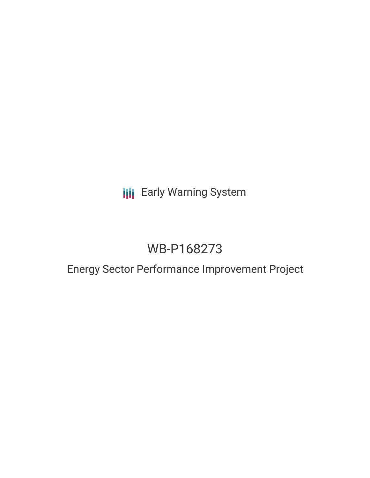## **III** Early Warning System

# WB-P168273

## Energy Sector Performance Improvement Project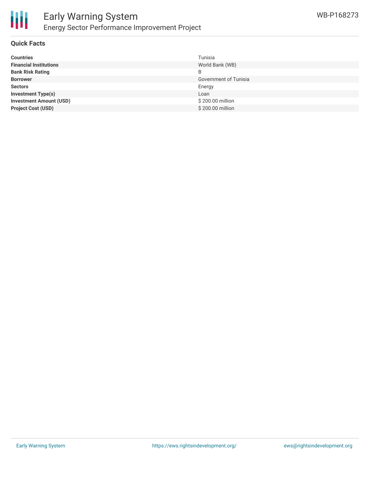

### **Quick Facts**

| <b>Countries</b>               | Tunisia               |
|--------------------------------|-----------------------|
| <b>Financial Institutions</b>  | World Bank (WB)       |
| <b>Bank Risk Rating</b>        | B                     |
| <b>Borrower</b>                | Government of Tunisia |
| <b>Sectors</b>                 | Energy                |
| <b>Investment Type(s)</b>      | Loan                  |
| <b>Investment Amount (USD)</b> | \$200.00 million      |
| <b>Project Cost (USD)</b>      | \$200.00 million      |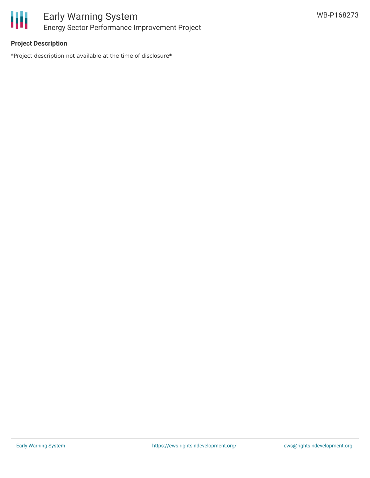

## **Project Description**

\*Project description not available at the time of disclosure\*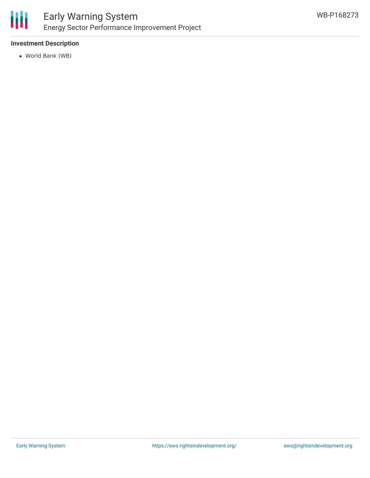

## **Investment Description**

World Bank (WB)